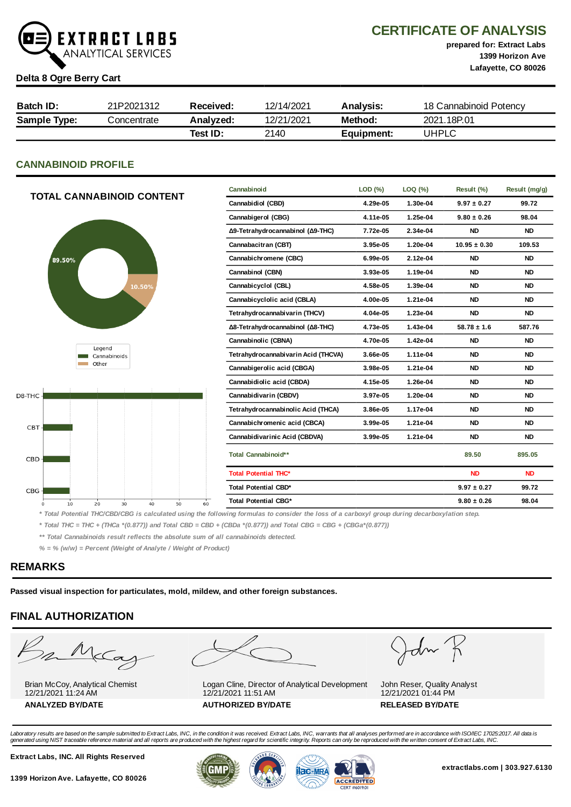

CERTIFICATE OF ANALYSIS

prepared for: Extract Labs 1399 Horizon Ave Lafayette, CO 80026

### Delta 8 Ogre Berry Cart

| Batch ID:           | 21P2021312  | Received: | 12/14/2021 | <b>Analvsis:</b> | 18 Cannabinoid Potency |
|---------------------|-------------|-----------|------------|------------------|------------------------|
| <b>Sample Type:</b> | Concentrate | Analyzed: | 12/21/2021 | Method:          | 2021.18P.01            |
|                     |             | Test ID:  | 2140       | Equipment:       | UHPLC                  |

## CANNABINOID PROFILE

| <b>TOTAL CANNABINOID CONTENT</b> |        |        | Cannabinoid                   | LOD (%)           | LOQ (%)  | Result (%)                  | Result (mg/g)                                                                                                                                 |           |                 |                  |           |
|----------------------------------|--------|--------|-------------------------------|-------------------|----------|-----------------------------|-----------------------------------------------------------------------------------------------------------------------------------------------|-----------|-----------------|------------------|-----------|
|                                  |        |        |                               | Cannabidiol (CBD) | 4.29e-05 | 1.30e-04                    | $9.97 \pm 0.27$                                                                                                                               | 99.72     |                 |                  |           |
|                                  |        |        |                               |                   |          | Cannabigerol (CBG)          | 4.11e-05                                                                                                                                      | 1.25e-04  | $9.80 \pm 0.26$ | 98.04            |           |
|                                  |        |        |                               |                   |          |                             | Δ9-Tetrahydrocannabinol (Δ9-THC)                                                                                                              | 7.72e-05  | 2.34e-04        | <b>ND</b>        | <b>ND</b> |
|                                  |        |        |                               |                   |          |                             | Cannabacitran (CBT)                                                                                                                           | 3.95e-05  | 1.20e-04        | $10.95 \pm 0.30$ | 109.53    |
|                                  | 89.50% |        |                               |                   |          |                             | Cannabichromene (CBC)                                                                                                                         | 6.99e-05  | 2.12e-04        | <b>ND</b>        | <b>ND</b> |
|                                  |        |        |                               |                   |          |                             | Cannabinol (CBN)                                                                                                                              | 3.93e-05  | 1.19e-04        | <b>ND</b>        | <b>ND</b> |
|                                  |        |        |                               | 10.50%            |          |                             | Cannabicyclol (CBL)                                                                                                                           | 4.58e-05  | 1.39e-04        | <b>ND</b>        | <b>ND</b> |
|                                  |        |        |                               |                   |          | Cannabicyclolic acid (CBLA) | 4.00e-05                                                                                                                                      | 1.21e-04  | <b>ND</b>       | <b>ND</b>        |           |
|                                  |        |        | Tetrahydrocannabivarin (THCV) |                   | 4.04e-05 | 1.23e-04                    | <b>ND</b>                                                                                                                                     | <b>ND</b> |                 |                  |           |
|                                  |        |        |                               |                   |          |                             | Δ8-Tetrahydrocannabinol (Δ8-THC)                                                                                                              | 4.73e-05  | 1.43e-04        | $58.78 \pm 1.6$  | 587.76    |
|                                  |        |        |                               |                   |          |                             | Cannabinolic (CBNA)                                                                                                                           | 4.70e-05  | 1.42e-04        | <b>ND</b>        | <b>ND</b> |
|                                  |        | Legend | Cannabinoids                  |                   |          |                             | Tetrahydrocannabivarin Acid (THCVA)                                                                                                           | 3.66e-05  | 1.11e-04        | <b>ND</b>        | <b>ND</b> |
|                                  |        | Other  |                               |                   |          |                             | Cannabigerolic acid (CBGA)                                                                                                                    | 3.98e-05  | 1.21e-04        | <b>ND</b>        | <b>ND</b> |
|                                  |        |        |                               |                   |          |                             | Cannabidiolic acid (CBDA)                                                                                                                     | 4.15e-05  | 1.26e-04        | <b>ND</b>        | <b>ND</b> |
| D8-THC-                          |        |        |                               |                   |          |                             | Cannabidivarin (CBDV)                                                                                                                         | 3.97e-05  | 1.20e-04        | <b>ND</b>        | <b>ND</b> |
|                                  |        |        |                               |                   |          |                             | Tetrahydrocannabinolic Acid (THCA)                                                                                                            | 3.86e-05  | 1.17e-04        | <b>ND</b>        | <b>ND</b> |
| CBT-                             |        |        |                               |                   |          |                             | Cannabichromenic acid (CBCA)                                                                                                                  | 3.99e-05  | 1.21e-04        | <b>ND</b>        | <b>ND</b> |
|                                  |        |        |                               |                   |          |                             | Cannabidivarinic Acid (CBDVA)                                                                                                                 | 3.99e-05  | 1.21e-04        | <b>ND</b>        | <b>ND</b> |
| CBD                              |        |        |                               |                   |          |                             | Total Cannabinoid**                                                                                                                           |           |                 | 89.50            | 895.05    |
|                                  |        |        |                               |                   |          |                             | <b>Total Potential THC*</b>                                                                                                                   |           |                 | <b>ND</b>        | <b>ND</b> |
| $CBG -$                          |        |        |                               |                   |          |                             | Total Potential CBD*                                                                                                                          |           |                 | $9.97 \pm 0.27$  | 99.72     |
|                                  | 10     | 20     | 30                            | 40                | 50       | 60                          | <b>Total Potential CBG*</b>                                                                                                                   |           |                 | $9.80 \pm 0.26$  | 98.04     |
|                                  |        |        |                               |                   |          |                             | * Total Dataptial THC/CDD/CDC is anlaulated using the following formulas to consider the loss of a earboyyl group during decarboyylation stop |           |                 |                  |           |

Total Potential THC/CBD/CBG is calculated using the following formulas to consider the loss of a carboxyl group during decarboxylation step.

\* Total THC = THC + (THCa \*(0.877)) and Total CBD = CBD + (CBDa \*(0.877)) and Total CBG = CBG + (CBGa\*(0.877))

\*\* Total Cannabinoids result reflects the absolute sum of all cannabinoids detected.

 $% =$  % (w/w) = Percent (Weight of Analyte / Weight of Product)

## REMARKS

Passed visual inspection for particulates, mold, mildew, and other foreign substances.

# FINAL AUTHORIZATION

m McCa

Brian McCoy, Analytical Chemist 12/21/2021 11:24 AM ANALYZED BY/DATE AUTHORIZED BY/DATE AUTHORIZED BY/DATE



Logan Cline, Director of Analytical Development 12/21/2021 11:51 AM

 $d\sim$ 

John Reser, Quality Analyst 12/21/2021 01:44 PM

Laboratory results are based on the sample submitted to Extract Labs, INC, in the condition it was received. Extract Labs, INC, warrants that all analyses performed are in accordance with ISO/IEC 17025:2017. All data is<br>ge

Extract Labs, INC. All Rights Reserved





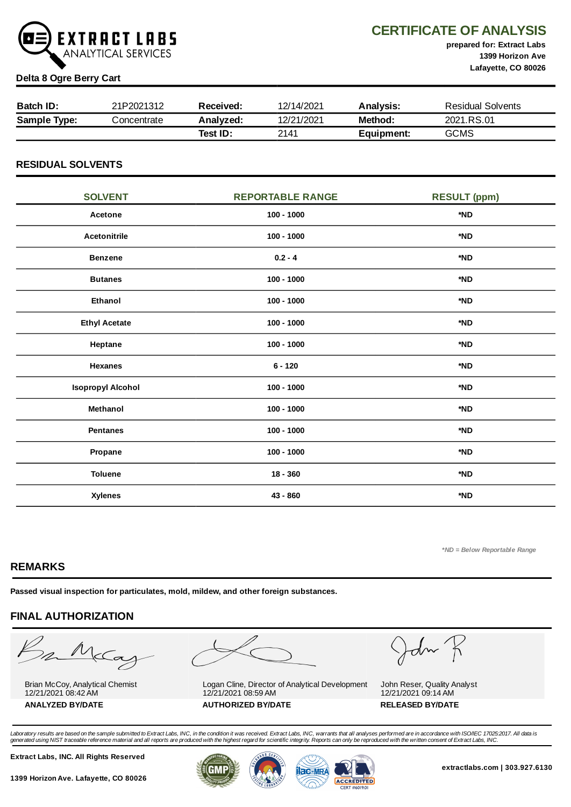

CERTIFICATE OF ANALYSIS

prepared for: Extract Labs 1399 Horizon Ave Lafayette, CO 80026

### Delta 8 Ogre Berry Cart

| <b>Batch ID:</b>    | 21P2021312  | Received: | 12/14/2021 | Analysis:  | <b>Residual Solvents</b> |
|---------------------|-------------|-----------|------------|------------|--------------------------|
| <b>Sample Type:</b> | Concentrate | Analyzed: | 12/21/2021 | Method:    | 2021.RS.01               |
|                     |             | Test ID:  | 2141       | Equipment: | <b>GCMS</b>              |

## RESIDUAL SOLVENTS

| <b>SOLVENT</b>           | <b>REPORTABLE RANGE</b> | <b>RESULT (ppm)</b> |
|--------------------------|-------------------------|---------------------|
| Acetone                  | $100 - 1000$            | *ND                 |
| <b>Acetonitrile</b>      | $100 - 1000$            | *ND                 |
| <b>Benzene</b>           | $0.2 - 4$               | *ND                 |
| <b>Butanes</b>           | $100 - 1000$            | *ND                 |
| Ethanol                  | $100 - 1000$            | *ND                 |
| <b>Ethyl Acetate</b>     | $100 - 1000$            | *ND                 |
| Heptane                  | $100 - 1000$            | *ND                 |
| <b>Hexanes</b>           | $6 - 120$               | *ND                 |
| <b>Isopropyl Alcohol</b> | $100 - 1000$            | *ND                 |
| Methanol                 | $100 - 1000$            | *ND                 |
| <b>Pentanes</b>          | $100 - 1000$            | *ND                 |
| Propane                  | $100 - 1000$            | *ND                 |
| <b>Toluene</b>           | $18 - 360$              | *ND                 |
| <b>Xylenes</b>           | 43 - 860                | *ND                 |

\*ND = Below Reportable Range

## REMARKS

Passed visual inspection for particulates, mold, mildew, and other foreign substances.

## FINAL AUTHORIZATION

Barba

Brian McCoy, Analytical Chemist 12/21/2021 08:42 AM



Logan Cline, Director of Analytical Development 12/21/2021 08:59 AM ANALYZED BY/DATE AUTHORIZED BY/DATE AUTHORIZED BY/DATE

John K

John Reser, Quality Analyst 12/21/2021 09:14 AM

Laboratory results are based on the sample submitted to Extract Labs, INC, in the condition it was received. Extract Labs, INC, warrants that all analyses performed are in accordance with ISO/IEC 17025:2017. All data is<br>ge

Extract Labs, INC. All Rights Reserved